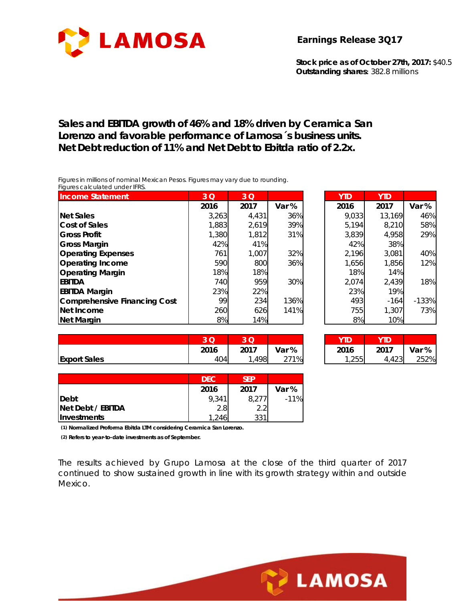

**Stock price as of October 27th, 2017:** \$40.5 **Outstanding shares:** 382.8 millions

## **Sales and EBITDA growth of 46% and 18% driven by Ceramica San Lorenzo and favorable performance of Lamosa´s business units. Net Debt reduction of 11% and Net Debt to Ebitda ratio of 2.2x.**

*Figures in millions of nominal Mexican Pesos. Figures may vary due to rounding. Figures calculated under IFRS.* 

| <b>Income Statement</b>             | 3Q    | 3 Q   |       | <b>YTD</b> | <b>YTD</b> |         |
|-------------------------------------|-------|-------|-------|------------|------------|---------|
|                                     | 2016  | 2017  | Var % | 2016       | 2017       | Var %   |
| Net Sales                           | 3,263 | 4,431 | 36%   | 9,033      | 13,169     | 46%     |
| <b>Cost of Sales</b>                | 1,883 | 2,619 | 39%   | 5,194      | 8,210      | 58%     |
| <b>Gross Profit</b>                 | 1,380 | 1,812 | 31%   | 3,839      | 4,958      | 29%     |
| <b>Gross Margin</b>                 | 42%   | 41%   |       | 42%        | 38%        |         |
| <b>Operating Expenses</b>           | 761   | 1,007 | 32%   | 2,196      | 3,081      | 40%     |
| <b>Operating Income</b>             | 590   | 800   | 36%   | 1,656      | 1,856      | 12%     |
| <b>Operating Margin</b>             | 18%   | 18%   |       | 18%        | 14%        |         |
| iebitda                             | 740   | 959   | 30%   | 2,074      | 2,439      | 18%     |
| <b>EBITDA Margin</b>                | 23%   | 22%   |       | 23%        | 19%        |         |
| <b>Comprehensive Financing Cost</b> | 99    | 234   | 136%  | 493        | $-164$     | $-133%$ |
| Net Income                          | 260   | 626   | 141%  | 755        | 1,307      | 73%     |
| Net Margin                          | 8%    | 14%   |       | 8%         | 10%        |         |

| 2016  | 2017  | Var % | 2016  | 2017   | Var %   |  |
|-------|-------|-------|-------|--------|---------|--|
| 3,263 | 4,431 | 36%   | 9,033 | 13,169 | 46%     |  |
| 1,883 | 2,619 | 39%   | 5,194 | 8,210  | 58%     |  |
| 1,380 | 1,812 | 31%   | 3,839 | 4,958  | 29%     |  |
| 42%   | 41%   |       | 42%   | 38%    |         |  |
| 761   | 1,007 | 32%   | 2,196 | 3,081  | 40%     |  |
| 590   | 800   | 36%   | 1,656 | 1,856  | 12%     |  |
| 18%   | 18%   |       | 18%   | 14%    |         |  |
| 740   | 959   | 30%   | 2,074 | 2,439  | 18%     |  |
| 23%   | 22%   |       | 23%   | 19%    |         |  |
| 99    | 234   | 136%  | 493   | $-164$ | $-133%$ |  |
| 260   | 626   | 141%  | 755   | 1,307  | 73%     |  |
| 8%    | 14%   |       | 8%    | 10%    |         |  |

|                     | $\Omega$<br>∽ | $\Omega$ |       | YTD           | YTD               |       |
|---------------------|---------------|----------|-------|---------------|-------------------|-------|
|                     | 2016          | 2017     | Var % | 2016          | 2017              | Var % |
| <b>Export Sales</b> | 404           | 498      | 271%  | つらら<br>ں بے ر | 100<br>ال ∠ + ، ، | 252%  |

| 3 Q  |       |       |       | YID   |       |
|------|-------|-------|-------|-------|-------|
| 2016 | 2017  | Var % | 2016  | 2017  | Var % |
| 404' | 1,498 | 271%  | 1,255 | 4,423 | 252%  |

**LAMOSA** 

|                   | <b>DEC</b> | <b>SFP</b> |         |
|-------------------|------------|------------|---------|
|                   | 2016       | 2017       | Var %   |
| <b>IDebt</b>      | 9.341      | 8.27       | $-11\%$ |
| Net Debt / EBITDA | 2.8        | 2.2        |         |
| Investments       | 1,246      | 331        |         |

**(1) Normalized Proforma Ebitda LTM considering Ceramica San Lorenzo.**

**(2) Refers to year-to-date investments as of September.**

The results achieved by Grupo Lamosa at the close of the third quarter of 2017 continued to show sustained growth in line with its growth strategy within and outside Mexico.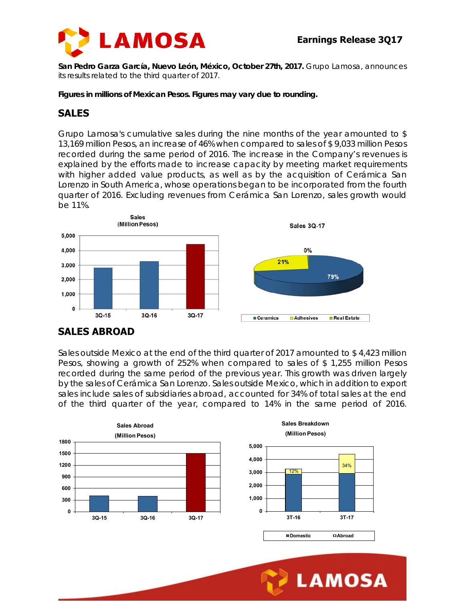

**San Pedro Garza García, Nuevo León, México, October 27th, 2017.** Grupo Lamosa, announces its results related to the third quarter of 2017.

*Figures in millions of Mexican Pesos. Figures may vary due to rounding.* 

## **SALES**

Grupo Lamosa's cumulative sales during the nine months of the year amounted to \$ 13,169 million Pesos, an increase of 46% when compared to sales of \$ 9,033 million Pesos recorded during the same period of 2016. The increase in the Company's revenues is explained by the efforts made to increase capacity by meeting market requirements with higher added value products, as well as by the acquisition of Cerámica San Lorenzo in South America, whose operations began to be incorporated from the fourth quarter of 2016. Excluding revenues from Cerámica San Lorenzo, sales growth would be 11%.



### **SALES ABROAD**

Sales outside Mexico at the end of the third quarter of 2017 amounted to \$ 4,423 million Pesos, showing a growth of 252% when compared to sales of \$ 1,255 million Pesos recorded during the same period of the previous year. This growth was driven largely by the sales of Cerámica San Lorenzo. Sales outside Mexico, which in addition to export sales include sales of subsidiaries abroad, accounted for 34% of total sales at the end of the third quarter of the year, compared to 14% in the same period of 2016.



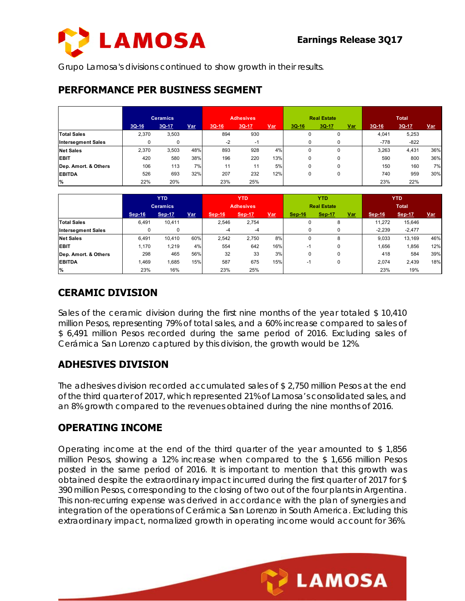

Grupo Lamosa's divisions continued to show growth in their results.

## **PERFORMANCE PER BUSINESS SEGMENT**

|                           |         | <b>Ceramics</b> |     | <b>Adhesives</b> |         |            | <b>Real Estate</b> |       |            | <b>Total</b> |        |            |
|---------------------------|---------|-----------------|-----|------------------|---------|------------|--------------------|-------|------------|--------------|--------|------------|
|                           | $3Q-16$ | 3Q-17           | Var | $3Q-16$          | $3Q-17$ | <u>Var</u> | <b>3Q-16</b>       | 3Q-17 | <u>Var</u> | $3Q-16$      | 3Q-17  | <u>Var</u> |
| <b>Total Sales</b>        | 2,370   | 3,503           |     | 894              | 930     |            |                    | 0     |            | 4,041        | 5,253  |            |
| <b>Intersegment Sales</b> |         | $\Omega$        |     | $-2$             | $-1$    |            |                    | 0     |            | $-778$       | $-822$ |            |
| <b>Net Sales</b>          | 2,370   | 3,503           | 48% | 893              | 928     | 4%         |                    | 0     |            | 3,263        | 4,431  | 36%        |
| <b>EBIT</b>               | 420     | 580             | 38% | 196              | 220     | 13%        |                    | 0     |            | 590          | 800    | 36%        |
| Dep. Amort. & Others      | 106     | 113             | 7%  | 11               | 11      | 5%         |                    | 0     |            | 150          | 160    | 7%         |
| <b>EBITDA</b>             | 526     | 693             | 32% | 207              | 232     | 12%        |                    | 0     |            | 740          | 959    | 30%        |
| $\frac{9}{6}$             | 22%     | 20%             |     | 23%              | 25%     |            |                    |       |            | 23%          | 22%    |            |

|                           | <b>YTD</b>      |        | <b>YTD</b><br><b>Adhesives</b> |               |        | <b>YTD</b><br><b>Real Estate</b> |        |        | <b>YTD</b><br><b>Total</b> |          |               |            |
|---------------------------|-----------------|--------|--------------------------------|---------------|--------|----------------------------------|--------|--------|----------------------------|----------|---------------|------------|
|                           | <b>Ceramics</b> |        |                                |               |        |                                  |        |        |                            |          |               |            |
|                           | Sep-16          | Sep-17 | <u>Var</u>                     | <b>Sep-16</b> | Sep-17 | <u>Var</u>                       | Sep-16 | Sep-17 | <u>Var</u>                 | Sep-16   | <b>Sep-17</b> | <u>Var</u> |
| <b>Total Sales</b>        | 6,491           | 10.411 |                                | 2,546         | 2,754  |                                  |        | 8      |                            | 11.272   | 15,646        |            |
| <b>Intersegment Sales</b> | $\Omega$        | 0      |                                | -4            | $-4$   |                                  |        | 0      |                            | $-2,239$ | $-2,477$      |            |
| <b>Net Sales</b>          | 6.491           | 10.410 | 60%                            | 2.542         | 2.750  | 8%                               |        | 8      |                            | 9,033    | 13.169        | 46%        |
| <b>EBIT</b>               | 1.170           | 1,219  | 4%                             | 554           | 642    | 16%                              | $-1$   | 0      |                            | 1,656    | 1,856         | 12%        |
| Dep. Amort. & Others      | 298             | 465    | 56%                            | 32            | 33     | 3%                               |        | 0      |                            | 418      | 584           | 39%        |
| <b>EBITDA</b>             | 1,469           | 1,685  | 15%                            | 587           | 675    | 15%                              | $-1$   | 0      |                            | 2,074    | 2,439         | 18%        |
| %                         | 23%             | 16%    |                                | 23%           | 25%    |                                  |        |        |                            | 23%      | 19%           |            |

# **CERAMIC DIVISION**

Sales of the ceramic division during the first nine months of the year totaled \$10,410 million Pesos, representing 79% of total sales, and a 60% increase compared to sales of \$ 6,491 million Pesos recorded during the same period of 2016. Excluding sales of Cerámica San Lorenzo captured by this division, the growth would be 12%.

## **ADHESIVES DIVISION**

The adhesives division recorded accumulated sales of \$ 2,750 million Pesos at the end of the third quarter of 2017, which represented 21% of Lamosa's consolidated sales, and an 8% growth compared to the revenues obtained during the nine months of 2016.

### **OPERATING INCOME**

Operating income at the end of the third quarter of the year amounted to \$ 1,856 million Pesos, showing a 12% increase when compared to the \$ 1,656 million Pesos posted in the same period of 2016. It is important to mention that this growth was obtained despite the extraordinary impact incurred during the first quarter of 2017 for \$ 390 million Pesos, corresponding to the closing of two out of the four plants in Argentina. This non-recurring expense was derived in accordance with the plan of synergies and integration of the operations of Cerámica San Lorenzo in South America. Excluding this extraordinary impact, normalized growth in operating income would account for 36%.

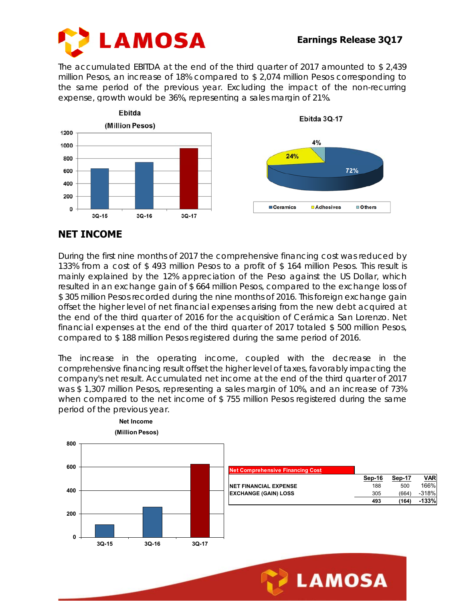

The accumulated EBITDA at the end of the third quarter of 2017 amounted to \$ 2,439 million Pesos, an increase of 18% compared to \$ 2,074 million Pesos corresponding to the same period of the previous year. Excluding the impact of the non-recurring expense, growth would be 36%, representing a sales margin of 21%.



## **NET INCOME**

During the first nine months of 2017 the comprehensive financing cost was reduced by 133% from a cost of \$ 493 million Pesos to a profit of \$ 164 million Pesos. This result is mainly explained by the 12% appreciation of the Peso against the US Dollar, which resulted in an exchange gain of \$ 664 million Pesos, compared to the exchange loss of \$ 305 million Pesos recorded during the nine months of 2016. This foreign exchange gain offset the higher level of net financial expenses arising from the new debt acquired at the end of the third quarter of 2016 for the acquisition of Cerámica San Lorenzo. Net financial expenses at the end of the third quarter of 2017 totaled \$ 500 million Pesos, compared to \$ 188 million Pesos registered during the same period of 2016.

The increase in the operating income, coupled with the decrease in the comprehensive financing result offset the higher level of taxes, favorably impacting the company's net result. Accumulated net income at the end of the third quarter of 2017 was \$ 1,307 million Pesos, representing a sales margin of 10%, and an increase of 73% when compared to the net income of \$ 755 million Pesos registered during the same period of the previous year.



**LAMOSA**